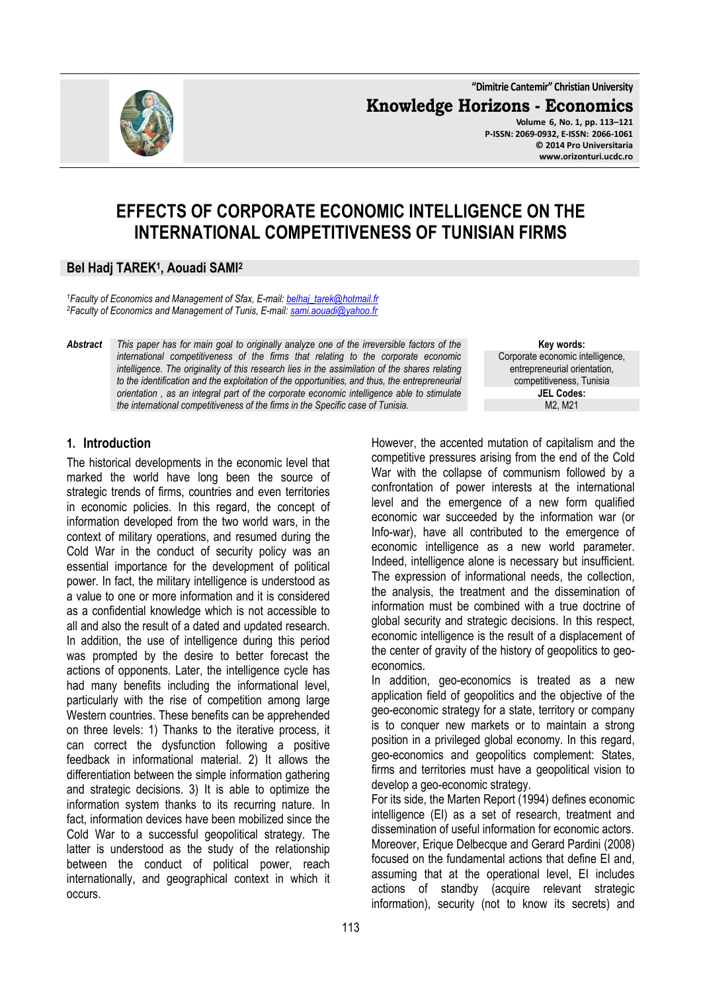**"Dimitrie Cantemir" Christian University Knowledge Horizons - Economics Volume 6, No. 1, pp. 113–121 P-ISSN: 2069-0932, E-ISSN: 2066-1061 © 2014 Pro Universitaria** 

# **EFFECTS OF CORPORATE ECONOMIC INTELLIGENCE ON THE INTERNATIONAL COMPETITIVENESS OF TUNISIAN FIRMS**

#### **Bel Hadj TAREK<sup>1</sup> , Aouadi SAMI<sup>2</sup>**

*<sup>1</sup>Faculty of Economics and Management of Sfax, E-mail: belhaj\_tarek@hotmail.fr <sup>2</sup>Faculty of Economics and Management of Tunis, E-mail: sami.aouadi@yahoo.fr* 

*Abstract This paper has for main goal to originally analyze one of the irreversible factors of the international competitiveness of the firms that relating to the corporate economic intelligence. The originality of this research lies in the assimilation of the shares relating to the identification and the exploitation of the opportunities, and thus, the entrepreneurial orientation , as an integral part of the corporate economic intelligence able to stimulate the international competitiveness of the firms in the Specific case of Tunisia.* 

**1. Introduction**

The historical developments in the economic level that marked the world have long been the source of strategic trends of firms, countries and even territories in economic policies. In this regard, the concept of information developed from the two world wars, in the context of military operations, and resumed during the Cold War in the conduct of security policy was an essential importance for the development of political power. In fact, the military intelligence is understood as a value to one or more information and it is considered as a confidential knowledge which is not accessible to all and also the result of a dated and updated research. In addition, the use of intelligence during this period was prompted by the desire to better forecast the actions of opponents. Later, the intelligence cycle has had many benefits including the informational level, particularly with the rise of competition among large Western countries. These benefits can be apprehended on three levels: 1) Thanks to the iterative process, it can correct the dysfunction following a positive feedback in informational material. 2) It allows the differentiation between the simple information gathering and strategic decisions. 3) It is able to optimize the information system thanks to its recurring nature. In fact, information devices have been mobilized since the Cold War to a successful geopolitical strategy. The latter is understood as the study of the relationship between the conduct of political power, reach internationally, and geographical context in which it occurs.

**Key words:** Corporate economic intelligence, entrepreneurial orientation, competitiveness, Tunisia **JEL Codes:** M2, M21

**www.orizonturi.ucdc.ro**

However, the accented mutation of capitalism and the competitive pressures arising from the end of the Cold War with the collapse of communism followed by a confrontation of power interests at the international level and the emergence of a new form qualified economic war succeeded by the information war (or Info-war), have all contributed to the emergence of economic intelligence as a new world parameter. Indeed, intelligence alone is necessary but insufficient. The expression of informational needs, the collection, the analysis, the treatment and the dissemination of information must be combined with a true doctrine of global security and strategic decisions. In this respect, economic intelligence is the result of a displacement of the center of gravity of the history of geopolitics to geoeconomics.

In addition, geo-economics is treated as a new application field of geopolitics and the objective of the geo-economic strategy for a state, territory or company is to conquer new markets or to maintain a strong position in a privileged global economy. In this regard, geo-economics and geopolitics complement: States, firms and territories must have a geopolitical vision to develop a geo-economic strategy.

For its side, the Marten Report (1994) defines economic intelligence (EI) as a set of research, treatment and dissemination of useful information for economic actors. Moreover, Erique Delbecque and Gerard Pardini (2008) focused on the fundamental actions that define EI and, assuming that at the operational level, EI includes actions of standby (acquire relevant strategic information), security (not to know its secrets) and

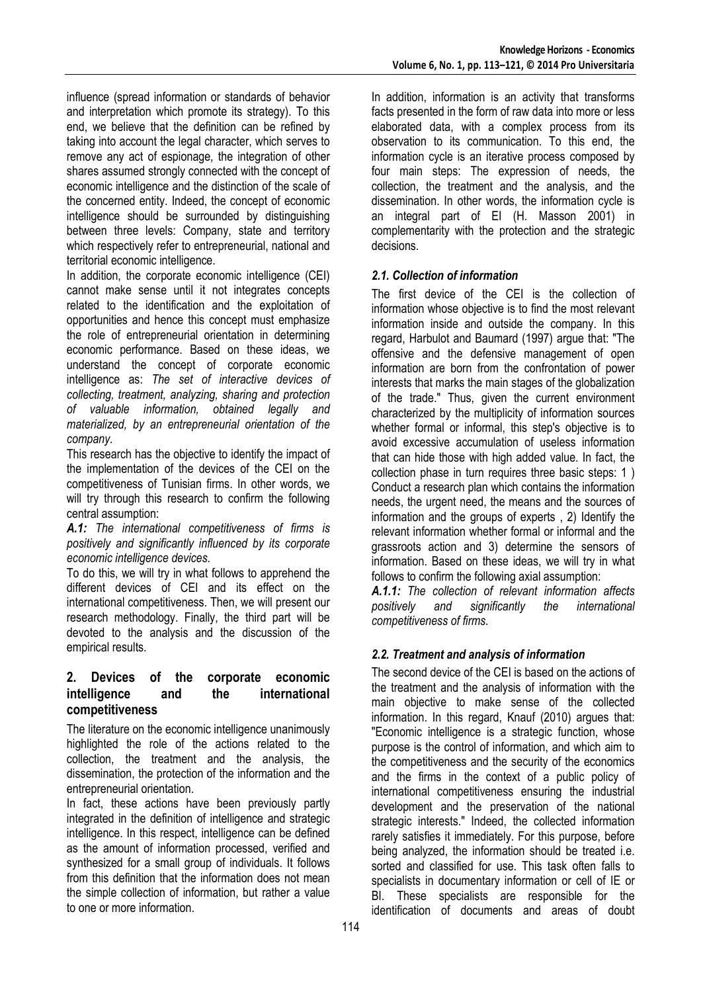influence (spread information or standards of behavior and interpretation which promote its strategy). To this end, we believe that the definition can be refined by taking into account the legal character, which serves to remove any act of espionage, the integration of other shares assumed strongly connected with the concept of economic intelligence and the distinction of the scale of the concerned entity. Indeed, the concept of economic intelligence should be surrounded by distinguishing between three levels: Company, state and territory which respectively refer to entrepreneurial, national and territorial economic intelligence.

In addition, the corporate economic intelligence (CEI) cannot make sense until it not integrates concepts related to the identification and the exploitation of opportunities and hence this concept must emphasize the role of entrepreneurial orientation in determining economic performance. Based on these ideas, we understand the concept of corporate economic intelligence as: *The set of interactive devices of collecting, treatment, analyzing, sharing and protection of valuable information, obtained legally and materialized, by an entrepreneurial orientation of the company.* 

This research has the objective to identify the impact of the implementation of the devices of the CEI on the competitiveness of Tunisian firms. In other words, we will try through this research to confirm the following central assumption:

*A.1: The international competitiveness of firms is positively and significantly influenced by its corporate economic intelligence devices.* 

To do this, we will try in what follows to apprehend the different devices of CEI and its effect on the international competitiveness. Then, we will present our research methodology. Finally, the third part will be devoted to the analysis and the discussion of the empirical results.

## **2. Devices of the corporate economic intelligence and the international competitiveness**

The literature on the economic intelligence unanimously highlighted the role of the actions related to the collection, the treatment and the analysis, the dissemination, the protection of the information and the entrepreneurial orientation.

In fact, these actions have been previously partly integrated in the definition of intelligence and strategic intelligence. In this respect, intelligence can be defined as the amount of information processed, verified and synthesized for a small group of individuals. It follows from this definition that the information does not mean the simple collection of information, but rather a value to one or more information.

In addition, information is an activity that transforms facts presented in the form of raw data into more or less elaborated data, with a complex process from its observation to its communication. To this end, the information cycle is an iterative process composed by four main steps: The expression of needs, the collection, the treatment and the analysis, and the dissemination. In other words, the information cycle is an integral part of EI (H. Masson 2001) in complementarity with the protection and the strategic decisions.

## *2.1. Collection of information*

The first device of the CEI is the collection of information whose objective is to find the most relevant information inside and outside the company. In this regard, Harbulot and Baumard (1997) argue that: "The offensive and the defensive management of open information are born from the confrontation of power interests that marks the main stages of the globalization of the trade." Thus, given the current environment characterized by the multiplicity of information sources whether formal or informal, this step's objective is to avoid excessive accumulation of useless information that can hide those with high added value. In fact, the collection phase in turn requires three basic steps: 1 ) Conduct a research plan which contains the information needs, the urgent need, the means and the sources of information and the groups of experts , 2) Identify the relevant information whether formal or informal and the grassroots action and 3) determine the sensors of information. Based on these ideas, we will try in what follows to confirm the following axial assumption:

*A.1.1: The collection of relevant information affects positively and significantly the international competitiveness of firms.* 

#### *2.2. Treatment and analysis of information*

The second device of the CEI is based on the actions of the treatment and the analysis of information with the main objective to make sense of the collected information. In this regard, Knauf (2010) argues that: "Economic intelligence is a strategic function, whose purpose is the control of information, and which aim to the competitiveness and the security of the economics and the firms in the context of a public policy of international competitiveness ensuring the industrial development and the preservation of the national strategic interests." Indeed, the collected information rarely satisfies it immediately. For this purpose, before being analyzed, the information should be treated i.e. sorted and classified for use. This task often falls to specialists in documentary information or cell of IE or BI. These specialists are responsible for the identification of documents and areas of doubt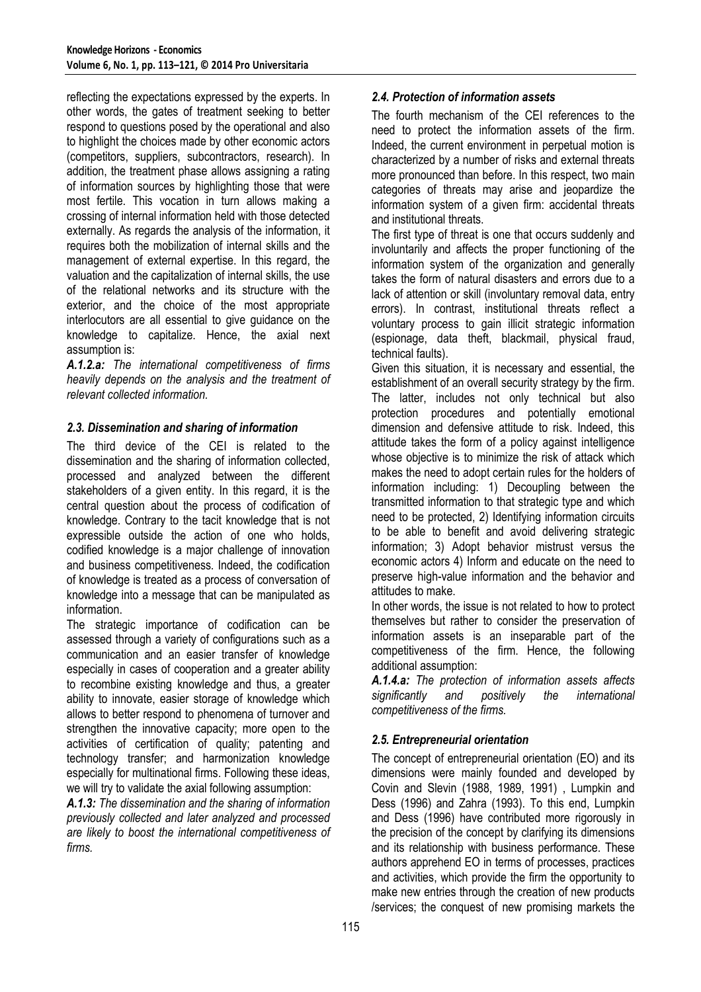reflecting the expectations expressed by the experts. In other words, the gates of treatment seeking to better respond to questions posed by the operational and also to highlight the choices made by other economic actors (competitors, suppliers, subcontractors, research). In addition, the treatment phase allows assigning a rating of information sources by highlighting those that were most fertile. This vocation in turn allows making a crossing of internal information held with those detected externally. As regards the analysis of the information, it requires both the mobilization of internal skills and the management of external expertise. In this regard, the valuation and the capitalization of internal skills, the use of the relational networks and its structure with the exterior, and the choice of the most appropriate interlocutors are all essential to give guidance on the knowledge to capitalize. Hence, the axial next assumption is:

*A.1.2.a: The international competitiveness of firms heavily depends on the analysis and the treatment of relevant collected information.* 

#### *2.3. Dissemination and sharing of information*

The third device of the CEI is related to the dissemination and the sharing of information collected, processed and analyzed between the different stakeholders of a given entity. In this regard, it is the central question about the process of codification of knowledge. Contrary to the tacit knowledge that is not expressible outside the action of one who holds, codified knowledge is a major challenge of innovation and business competitiveness. Indeed, the codification of knowledge is treated as a process of conversation of knowledge into a message that can be manipulated as information.

The strategic importance of codification can be assessed through a variety of configurations such as a communication and an easier transfer of knowledge especially in cases of cooperation and a greater ability to recombine existing knowledge and thus, a greater ability to innovate, easier storage of knowledge which allows to better respond to phenomena of turnover and strengthen the innovative capacity; more open to the activities of certification of quality; patenting and technology transfer; and harmonization knowledge especially for multinational firms. Following these ideas, we will try to validate the axial following assumption:

*A.1.3: The dissemination and the sharing of information previously collected and later analyzed and processed are likely to boost the international competitiveness of firms.* 

## *2.4. Protection of information assets*

The fourth mechanism of the CEI references to the need to protect the information assets of the firm. Indeed, the current environment in perpetual motion is characterized by a number of risks and external threats more pronounced than before. In this respect, two main categories of threats may arise and jeopardize the information system of a given firm: accidental threats and institutional threats.

The first type of threat is one that occurs suddenly and involuntarily and affects the proper functioning of the information system of the organization and generally takes the form of natural disasters and errors due to a lack of attention or skill (involuntary removal data, entry errors). In contrast, institutional threats reflect a voluntary process to gain illicit strategic information (espionage, data theft, blackmail, physical fraud, technical faults).

Given this situation, it is necessary and essential, the establishment of an overall security strategy by the firm. The latter, includes not only technical but also protection procedures and potentially emotional dimension and defensive attitude to risk. Indeed, this attitude takes the form of a policy against intelligence whose objective is to minimize the risk of attack which makes the need to adopt certain rules for the holders of information including: 1) Decoupling between the transmitted information to that strategic type and which need to be protected, 2) Identifying information circuits to be able to benefit and avoid delivering strategic information; 3) Adopt behavior mistrust versus the economic actors 4) Inform and educate on the need to preserve high-value information and the behavior and attitudes to make.

In other words, the issue is not related to how to protect themselves but rather to consider the preservation of information assets is an inseparable part of the competitiveness of the firm. Hence, the following additional assumption:

*A.1.4.a: The protection of information assets affects significantly and positively the international competitiveness of the firms.* 

## *2.5. Entrepreneurial orientation*

The concept of entrepreneurial orientation (EO) and its dimensions were mainly founded and developed by Covin and Slevin (1988, 1989, 1991) , Lumpkin and Dess (1996) and Zahra (1993). To this end, Lumpkin and Dess (1996) have contributed more rigorously in the precision of the concept by clarifying its dimensions and its relationship with business performance. These authors apprehend EO in terms of processes, practices and activities, which provide the firm the opportunity to make new entries through the creation of new products /services; the conquest of new promising markets the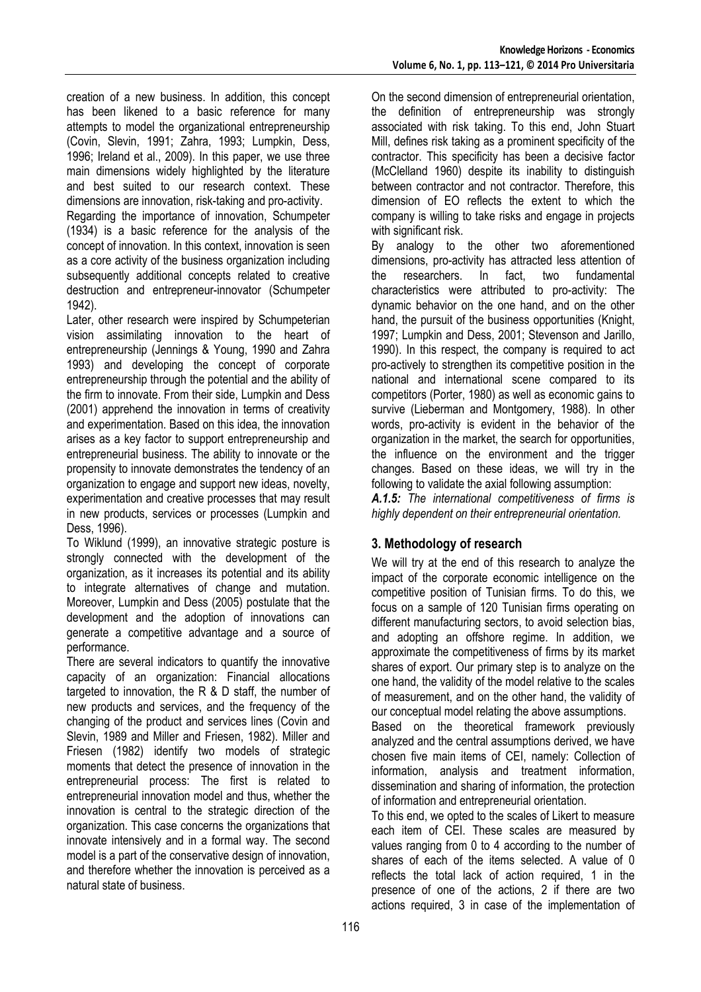creation of a new business. In addition, this concept has been likened to a basic reference for many attempts to model the organizational entrepreneurship (Covin, Slevin, 1991; Zahra, 1993; Lumpkin, Dess, 1996; Ireland et al., 2009). In this paper, we use three main dimensions widely highlighted by the literature and best suited to our research context. These dimensions are innovation, risk-taking and pro-activity.

Regarding the importance of innovation, Schumpeter (1934) is a basic reference for the analysis of the concept of innovation. In this context, innovation is seen as a core activity of the business organization including subsequently additional concepts related to creative destruction and entrepreneur-innovator (Schumpeter 1942).

Later, other research were inspired by Schumpeterian vision assimilating innovation to the heart of entrepreneurship (Jennings & Young, 1990 and Zahra 1993) and developing the concept of corporate entrepreneurship through the potential and the ability of the firm to innovate. From their side, Lumpkin and Dess (2001) apprehend the innovation in terms of creativity and experimentation. Based on this idea, the innovation arises as a key factor to support entrepreneurship and entrepreneurial business. The ability to innovate or the propensity to innovate demonstrates the tendency of an organization to engage and support new ideas, novelty, experimentation and creative processes that may result in new products, services or processes (Lumpkin and Dess, 1996).

To Wiklund (1999), an innovative strategic posture is strongly connected with the development of the organization, as it increases its potential and its ability to integrate alternatives of change and mutation. Moreover, Lumpkin and Dess (2005) postulate that the development and the adoption of innovations can generate a competitive advantage and a source of performance.

There are several indicators to quantify the innovative capacity of an organization: Financial allocations targeted to innovation, the R & D staff, the number of new products and services, and the frequency of the changing of the product and services lines (Covin and Slevin, 1989 and Miller and Friesen, 1982). Miller and Friesen (1982) identify two models of strategic moments that detect the presence of innovation in the entrepreneurial process: The first is related to entrepreneurial innovation model and thus, whether the innovation is central to the strategic direction of the organization. This case concerns the organizations that innovate intensively and in a formal way. The second model is a part of the conservative design of innovation, and therefore whether the innovation is perceived as a natural state of business.

On the second dimension of entrepreneurial orientation, the definition of entrepreneurship was strongly associated with risk taking. To this end, John Stuart Mill, defines risk taking as a prominent specificity of the contractor. This specificity has been a decisive factor (McClelland 1960) despite its inability to distinguish between contractor and not contractor. Therefore, this dimension of EO reflects the extent to which the company is willing to take risks and engage in projects with significant risk.

By analogy to the other two aforementioned dimensions, pro-activity has attracted less attention of the researchers. In fact, two fundamental characteristics were attributed to pro-activity: The dynamic behavior on the one hand, and on the other hand, the pursuit of the business opportunities (Knight, 1997; Lumpkin and Dess, 2001; Stevenson and Jarillo, 1990). In this respect, the company is required to act pro-actively to strengthen its competitive position in the national and international scene compared to its competitors (Porter, 1980) as well as economic gains to survive (Lieberman and Montgomery, 1988). In other words, pro-activity is evident in the behavior of the organization in the market, the search for opportunities, the influence on the environment and the trigger changes. Based on these ideas, we will try in the following to validate the axial following assumption:

*A.1.5: The international competitiveness of firms is highly dependent on their entrepreneurial orientation.* 

# **3. Methodology of research**

We will try at the end of this research to analyze the impact of the corporate economic intelligence on the competitive position of Tunisian firms. To do this, we focus on a sample of 120 Tunisian firms operating on different manufacturing sectors, to avoid selection bias, and adopting an offshore regime. In addition, we approximate the competitiveness of firms by its market shares of export. Our primary step is to analyze on the one hand, the validity of the model relative to the scales of measurement, and on the other hand, the validity of our conceptual model relating the above assumptions.

Based on the theoretical framework previously analyzed and the central assumptions derived, we have chosen five main items of CEI, namely: Collection of information, analysis and treatment information, dissemination and sharing of information, the protection of information and entrepreneurial orientation.

To this end, we opted to the scales of Likert to measure each item of CEI. These scales are measured by values ranging from 0 to 4 according to the number of shares of each of the items selected. A value of 0 reflects the total lack of action required, 1 in the presence of one of the actions, 2 if there are two actions required, 3 in case of the implementation of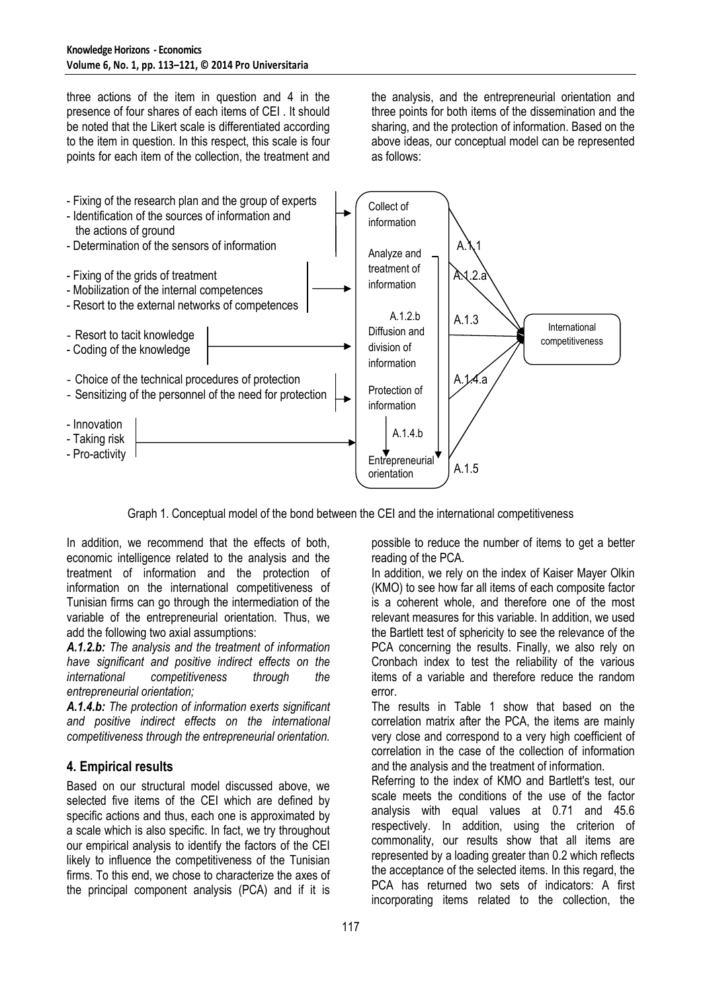three actions of the item in question and 4 in the presence of four shares of each items of CEI . It should be noted that the Likert scale is differentiated according to the item in question. In this respect, this scale is four points for each item of the collection, the treatment and the analysis, and the entrepreneurial orientation and three points for both items of the dissemination and the sharing, and the protection of information. Based on the above ideas, our conceptual model can be represented as follows:



Graph 1. Conceptual model of the bond between the CEI and the international competitiveness

In addition, we recommend that the effects of both, economic intelligence related to the analysis and the treatment of information and the protection of information on the international competitiveness of Tunisian firms can go through the intermediation of the variable of the entrepreneurial orientation. Thus, we add the following two axial assumptions:

*A.1.2.b: The analysis and the treatment of information have significant and positive indirect effects on the international competitiveness through the entrepreneurial orientation;* 

*A.1.4.b: The protection of information exerts significant and positive indirect effects on the international competitiveness through the entrepreneurial orientation.* 

# **4. Empirical results**

Based on our structural model discussed above, we selected five items of the CEI which are defined by specific actions and thus, each one is approximated by a scale which is also specific. In fact, we try throughout our empirical analysis to identify the factors of the CEI likely to influence the competitiveness of the Tunisian firms. To this end, we chose to characterize the axes of the principal component analysis (PCA) and if it is

possible to reduce the number of items to get a better reading of the PCA.

In addition, we rely on the index of Kaiser Mayer Olkin (KMO) to see how far all items of each composite factor is a coherent whole, and therefore one of the most relevant measures for this variable. In addition, we used the Bartlett test of sphericity to see the relevance of the PCA concerning the results. Finally, we also rely on Cronbach index to test the reliability of the various items of a variable and therefore reduce the random error.

The results in Table 1 show that based on the correlation matrix after the PCA, the items are mainly very close and correspond to a very high coefficient of correlation in the case of the collection of information and the analysis and the treatment of information.

Referring to the index of KMO and Bartlett's test, our scale meets the conditions of the use of the factor analysis with equal values at 0.71 and 45.6 respectively. In addition, using the criterion of commonality, our results show that all items are represented by a loading greater than 0.2 which reflects the acceptance of the selected items. In this regard, the PCA has returned two sets of indicators: A first incorporating items related to the collection, the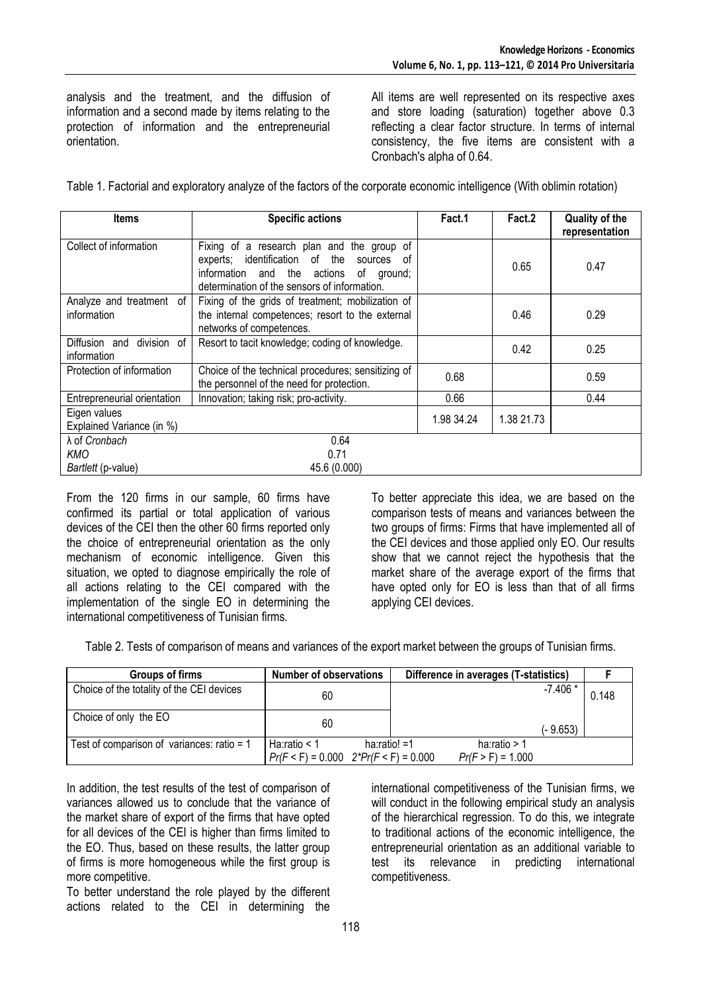analysis and the treatment, and the diffusion of information and a second made by items relating to the protection of information and the entrepreneurial orientation.

All items are well represented on its respective axes and store loading (saturation) together above 0.3 reflecting a clear factor structure. In terms of internal consistency, the five items are consistent with a Cronbach's alpha of 0.64.

Table 1. Factorial and exploratory analyze of the factors of the corporate economic intelligence (With oblimin rotation)

| <b>Items</b>                                | <b>Specific actions</b>                                                                                                                                                                    | Fact.1     | Fact.2     | <b>Quality of the</b><br>representation |
|---------------------------------------------|--------------------------------------------------------------------------------------------------------------------------------------------------------------------------------------------|------------|------------|-----------------------------------------|
| Collect of information                      | Fixing of a research plan and the group of<br>experts; identification of the<br>sources<br>of<br>information and the actions<br>of ground;<br>determination of the sensors of information. |            | 0.65       | 0.47                                    |
| Analyze and treatment of<br>information     | Fixing of the grids of treatment; mobilization of<br>the internal competences; resort to the external<br>networks of competences.                                                          |            | 0.46       | 0.29                                    |
| division of<br>Diffusion and<br>information | Resort to tacit knowledge; coding of knowledge.                                                                                                                                            |            | 0.42       | 0.25                                    |
| Protection of information                   | Choice of the technical procedures; sensitizing of<br>the personnel of the need for protection.                                                                                            | 0.68       |            | 0.59                                    |
| Entrepreneurial orientation                 | Innovation; taking risk; pro-activity.                                                                                                                                                     | 0.66       |            | 0.44                                    |
| Eigen values<br>Explained Variance (in %)   |                                                                                                                                                                                            | 1.98 34.24 | 1.38 21.73 |                                         |
| λ of Cronbach                               | 0.64                                                                                                                                                                                       |            |            |                                         |
| KMO                                         | 0.71                                                                                                                                                                                       |            |            |                                         |
| Bartlett (p-value)                          | 45.6 (0.000)                                                                                                                                                                               |            |            |                                         |

From the 120 firms in our sample, 60 firms have confirmed its partial or total application of various devices of the CEI then the other 60 firms reported only the choice of entrepreneurial orientation as the only mechanism of economic intelligence. Given this situation, we opted to diagnose empirically the role of all actions relating to the CEI compared with the implementation of the single EO in determining the international competitiveness of Tunisian firms.

To better appreciate this idea, we are based on the comparison tests of means and variances between the two groups of firms: Firms that have implemented all of the CEI devices and those applied only EO. Our results show that we cannot reject the hypothesis that the market share of the average export of the firms that have opted only for EO is less than that of all firms applying CEI devices.

Table 2. Tests of comparison of means and variances of the export market between the groups of Tunisian firms.

| Groups of firms                              | Number of observations |                                                               | Difference in averages (T-statistics) |           |       |
|----------------------------------------------|------------------------|---------------------------------------------------------------|---------------------------------------|-----------|-------|
| Choice of the totality of the CEI devices    | 60                     |                                                               |                                       | $-7.406*$ | 0.148 |
| Choice of only the EO                        | 60                     |                                                               |                                       | (- 9.653) |       |
| Test of comparison of variances: ratio = $1$ | Ha:ratio $<$ 1         | ha: $ratio! = 1$<br>$Pr(F < F) = 0.000$ $2*Pr(F < F) = 0.000$ | ha:ratio $> 1$<br>$Pr(F > F) = 1.000$ |           |       |

In addition, the test results of the test of comparison of variances allowed us to conclude that the variance of the market share of export of the firms that have opted for all devices of the CEI is higher than firms limited to the EO. Thus, based on these results, the latter group of firms is more homogeneous while the first group is more competitive.

To better understand the role played by the different actions related to the CEI in determining the

international competitiveness of the Tunisian firms, we will conduct in the following empirical study an analysis of the hierarchical regression. To do this, we integrate to traditional actions of the economic intelligence, the entrepreneurial orientation as an additional variable to test its relevance in predicting international competitiveness.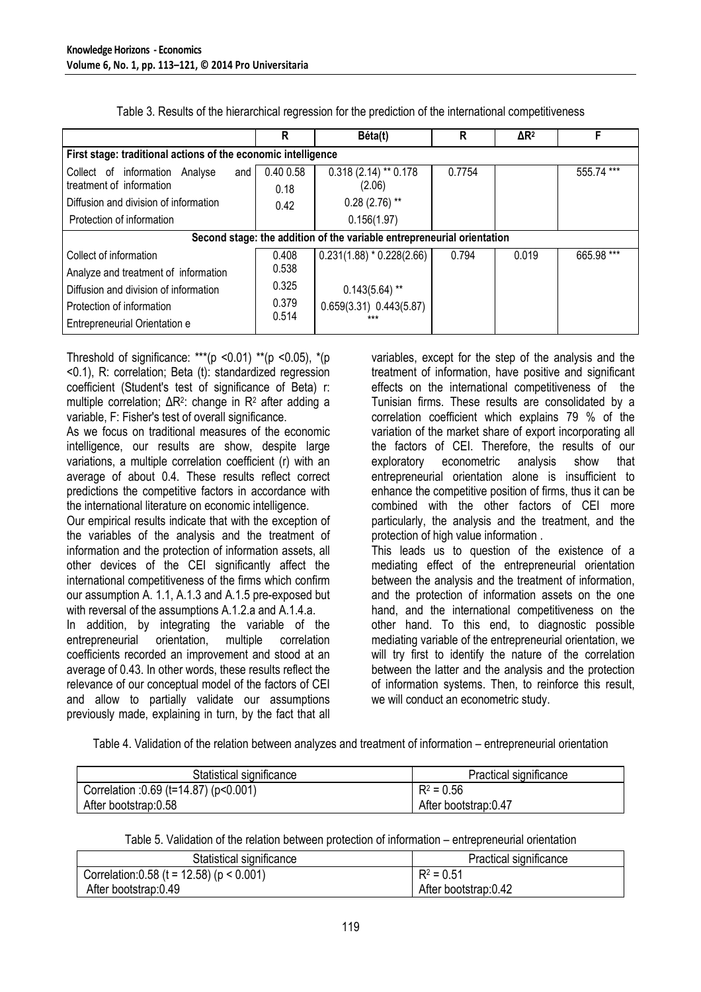|                                                                                                                                         | R                         | Béta(t)                                                            | R      | $\Delta$ R <sup>2</sup> | F          |
|-----------------------------------------------------------------------------------------------------------------------------------------|---------------------------|--------------------------------------------------------------------|--------|-------------------------|------------|
| First stage: traditional actions of the economic intelligence                                                                           |                           |                                                                    |        |                         |            |
| Collect of information Analyse<br>and<br>treatment of information<br>Diffusion and division of information<br>Protection of information | 0.40 0.58<br>0.18<br>0.42 | $0.318(2.14)$ ** 0.178<br>(2.06)<br>$0.28(2.76)$ **<br>0.156(1.97) | 0.7754 |                         | 555.74 *** |
| Second stage: the addition of the variable entrepreneurial orientation                                                                  |                           |                                                                    |        |                         |            |
| Collect of information<br>Analyze and treatment of information                                                                          | 0.408<br>0.538            | $0.231(1.88) * 0.228(2.66)$                                        | 0.794  | 0.019                   | 665.98 *** |
| Diffusion and division of information<br>Protection of information<br>Entrepreneurial Orientation e                                     | 0.325<br>0.379<br>0.514   | $0.143(5.64)$ **<br>$0.659(3.31)$ $0.443(5.87)$<br>***             |        |                         |            |

Table 3. Results of the hierarchical regression for the prediction of the international competitiveness

Threshold of significance: \*\*\* (p <0.01) \*\* (p <0.05), \*(p <0.1), R: correlation; Beta (t): standardized regression coefficient (Student's test of significance of Beta) r: multiple correlation; ΔR<sup>2</sup>: change in R<sup>2</sup> after adding a variable, F: Fisher's test of overall significance.

As we focus on traditional measures of the economic intelligence, our results are show, despite large variations, a multiple correlation coefficient (r) with an average of about 0.4. These results reflect correct predictions the competitive factors in accordance with the international literature on economic intelligence.

Our empirical results indicate that with the exception of the variables of the analysis and the treatment of information and the protection of information assets, all other devices of the CEI significantly affect the international competitiveness of the firms which confirm our assumption A. 1.1, A.1.3 and A.1.5 pre-exposed but with reversal of the assumptions A.1.2.a and A.1.4.a.

In addition, by integrating the variable of the entrepreneurial orientation, multiple correlation entrepreneurial orientation, multiple correlation coefficients recorded an improvement and stood at an average of 0.43. In other words, these results reflect the relevance of our conceptual model of the factors of CEI and allow to partially validate our assumptions previously made, explaining in turn, by the fact that all

variables, except for the step of the analysis and the treatment of information, have positive and significant effects on the international competitiveness of the Tunisian firms. These results are consolidated by a correlation coefficient which explains 79 % of the variation of the market share of export incorporating all the factors of CEI. Therefore, the results of our exploratory econometric analysis show that entrepreneurial orientation alone is insufficient to enhance the competitive position of firms, thus it can be combined with the other factors of CEI more particularly, the analysis and the treatment, and the protection of high value information . This leads us to question of the existence of a

mediating effect of the entrepreneurial orientation between the analysis and the treatment of information, and the protection of information assets on the one hand, and the international competitiveness on the other hand. To this end, to diagnostic possible mediating variable of the entrepreneurial orientation, we will try first to identify the nature of the correlation between the latter and the analysis and the protection of information systems. Then, to reinforce this result, we will conduct an econometric study.

Table 4. Validation of the relation between analyzes and treatment of information – entrepreneurial orientation

| Statistical significance               | Practical significance |  |  |
|----------------------------------------|------------------------|--|--|
| Correlation : 0.69 (t=14.87) (p<0.001) | $R^2 = 0.56$           |  |  |
| After bootstrap:0.58                   | After bootstrap:0.47   |  |  |

Table 5. Validation of the relation between protection of information – entrepreneurial orientation

| Statistical significance                      | Practical significance |  |  |
|-----------------------------------------------|------------------------|--|--|
| Correlation: 0.58 (t = 12.58) ( $p < 0.001$ ) | $R^2 = 0.51$           |  |  |
| After bootstrap: 0.49                         | After bootstrap:0.42   |  |  |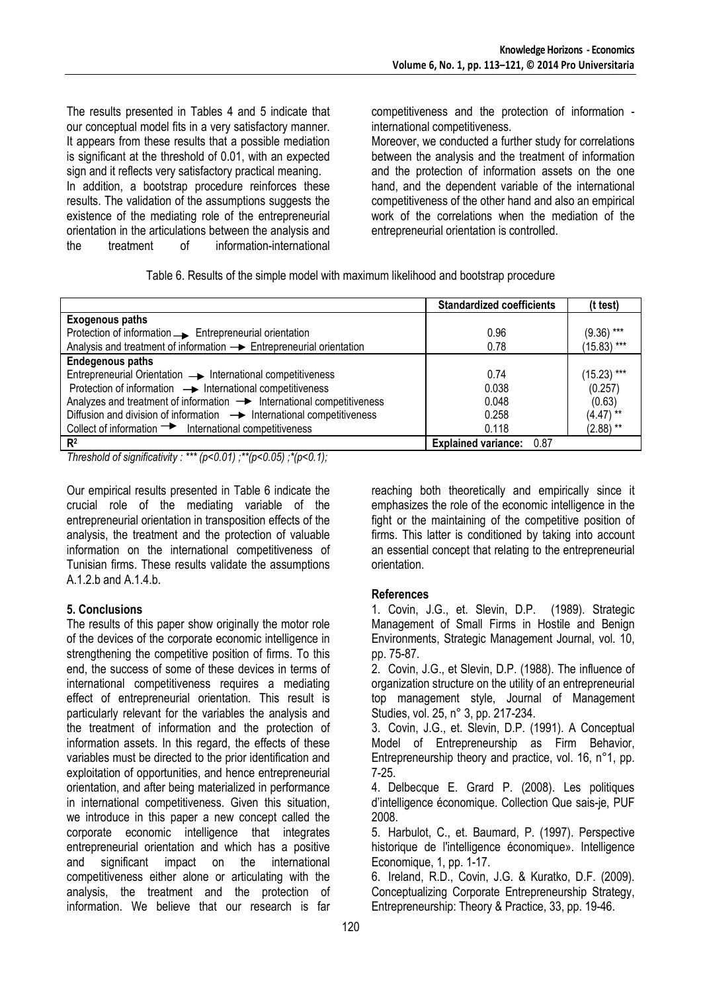The results presented in Tables 4 and 5 indicate that our conceptual model fits in a very satisfactory manner. It appears from these results that a possible mediation is significant at the threshold of 0.01, with an expected sign and it reflects very satisfactory practical meaning. In addition, a bootstrap procedure reinforces these results. The validation of the assumptions suggests the existence of the mediating role of the entrepreneurial orientation in the articulations between the analysis and the treatment of information-international

competitiveness and the protection of information international competitiveness.

Moreover, we conducted a further study for correlations between the analysis and the treatment of information and the protection of information assets on the one hand, and the dependent variable of the international competitiveness of the other hand and also an empirical work of the correlations when the mediation of the entrepreneurial orientation is controlled.

Table 6. Results of the simple model with maximum likelihood and bootstrap procedure

|                                                                                   | <b>Standardized coefficients</b> | (t test)      |
|-----------------------------------------------------------------------------------|----------------------------------|---------------|
| <b>Exogenous paths</b>                                                            |                                  |               |
| Protection of information  Subsetepreneurial orientation                          | 0.96                             | $(9.36)$ ***  |
| Analysis and treatment of information $\rightarrow$ Entrepreneurial orientation   | 0.78                             | $(15.83)$ *** |
| <b>Endegenous paths</b>                                                           |                                  |               |
| Entrepreneurial Orientation -> International competitiveness                      | 0.74                             | $(15.23)$ *** |
| Protection of information -> International competitiveness                        | 0.038                            | (0.257)       |
| Analyzes and treatment of information $\rightarrow$ International competitiveness | 0.048                            | (0.63)        |
| Diffusion and division of information $\rightarrow$ International competitiveness | 0.258                            | $(4.47)$ **   |
| Collect of information $\rightarrow$ International competitiveness                | 0.118                            | $(2.88)$ **   |
| R <sup>2</sup>                                                                    | Explained variance: 0.87         |               |

*Threshold of significativity : \*\*\* (p<0.01) ;\*\*(p<0.05) ;\*(p<0.1);* 

Our empirical results presented in Table 6 indicate the crucial role of the mediating variable of the entrepreneurial orientation in transposition effects of the analysis, the treatment and the protection of valuable information on the international competitiveness of Tunisian firms. These results validate the assumptions  $A.1.2$  b and  $A.1.4$  b.

#### **5. Conclusions**

The results of this paper show originally the motor role of the devices of the corporate economic intelligence in strengthening the competitive position of firms. To this end, the success of some of these devices in terms of international competitiveness requires a mediating effect of entrepreneurial orientation. This result is particularly relevant for the variables the analysis and the treatment of information and the protection of information assets. In this regard, the effects of these variables must be directed to the prior identification and exploitation of opportunities, and hence entrepreneurial orientation, and after being materialized in performance in international competitiveness. Given this situation, we introduce in this paper a new concept called the corporate economic intelligence that integrates entrepreneurial orientation and which has a positive and significant impact on the international competitiveness either alone or articulating with the analysis, the treatment and the protection of information. We believe that our research is far

reaching both theoretically and empirically since it emphasizes the role of the economic intelligence in the fight or the maintaining of the competitive position of firms. This latter is conditioned by taking into account an essential concept that relating to the entrepreneurial orientation.

## **References**

1. Covin, J.G., et. Slevin, D.P. (1989). Strategic Management of Small Firms in Hostile and Benign Environments, Strategic Management Journal, vol. 10, pp. 75-87.

2. Covin, J.G., et Slevin, D.P. (1988). The influence of organization structure on the utility of an entrepreneurial top management style, Journal of Management Studies, vol. 25, n° 3, pp. 217-234.

3. Covin, J.G., et. Slevin, D.P. (1991). A Conceptual Model of Entrepreneurship as Firm Behavior, Entrepreneurship theory and practice, vol. 16, n°1, pp. 7-25.

4. Delbecque E. Grard P. (2008). Les politiques d'intelligence économique. Collection Que sais-je, PUF 2008.

5. Harbulot, C., et. Baumard, P. (1997). Perspective historique de l'intelligence économique». Intelligence Economique, 1, pp. 1-17.

6. Ireland, R.D., Covin, J.G. & Kuratko, D.F. (2009). Conceptualizing Corporate Entrepreneurship Strategy, Entrepreneurship: Theory & Practice, 33, pp. 19-46.